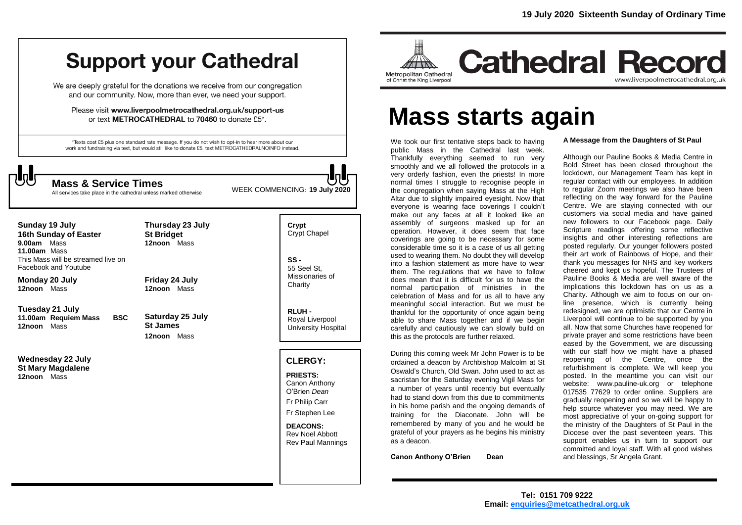# **Support your Cathedral**

We are deeply grateful for the donations we receive from our congregation and our community. Now, more than ever, we need your support.

Please visit www.liverpoolmetrocathedral.org.uk/support-us or text METROCATHEDRAL to 70460 to donate £5\*.

\*Texts cost £5 plus one standard rate message. If you do not wish to opt-in to hear more about our work and fundraising via text, but would still like to donate £5, text METROCATHEDRALNOINFO instead.



WEEK COMMENCING: **19 July 2020 Mass & Service Times**

**Crypt**  Crypt Chapel

**SS -** 55 Seel St, Missionaries of **Charity** 

**RLUH -** Royal Liverpool University Hospital

All services take place in the cathedral unless marked otherwise

**Sunday 19 July 16th Sunday of Easter 9.00am** Mass **11.00am** Mass This Mass will be streamed live on Facebook and Youtube

**Monday 20 July 12noon** Mass

**Friday 24 July 12noon** Mass

**Tuesday 21 July 11.00am Requiem Mass BSC 12noon** Mass

**Wednesday 22 July St Mary Magdalene 12noon** Mass

**Thursday 23 July St Bridget 12noon** Mass

**Saturday 25 July St James 12noon** Mass

## **CLERGY:**

**PRIESTS:** Canon Anthony O'Brien *Dean*

Fr Philip Carr

Fr Stephen Lee

**DEACONS:** Rev Noel Abbott Rev Paul Mannings



## **Cathedral Record** www.liverpoolmetrocathedral.org.uk

# **Mass starts again**

We took our first tentative steps back to having public Mass in the Cathedral last week. Thankfully everything seemed to run very smoothly and we all followed the protocols in a very orderly fashion, even the priests! In more normal times I struggle to recognise people in the congregation when saying Mass at the High Altar due to slightly impaired eyesight. Now that everyone is wearing face coverings I couldn't make out any faces at all it looked like an assembly of surgeons masked up for an operation. However, it does seem that face coverings are going to be necessary for some considerable time so it is a case of us all getting used to wearing them. No doubt they will develop into a fashion statement as more have to wear them. The regulations that we have to follow does mean that it is difficult for us to have the normal participation of ministries in the celebration of Mass and for us all to have any meaningful social interaction. But we must be thankful for the opportunity of once again being able to share Mass together and if we begin carefully and cautiously we can slowly build on this as the protocols are further relaxed.

During this coming week Mr John Power is to be ordained a deacon by Archbishop Malcolm at St Oswald's Church, Old Swan. John used to act as sacristan for the Saturday evening Vigil Mass for a number of years until recently but eventually had to stand down from this due to commitments in his home parish and the ongoing demands of training for the Diaconate. John will be remembered by many of you and he would be grateful of your prayers as he begins his ministry as a deacon.

**Canon Anthony O'Brien Dean**

**A Message from the Daughters of St Paul**

Although our Pauline Books & Media Centre in Bold Street has been closed throughout the lockdown, our Management Team has kept in regular contact with our employees. In addition to regular Zoom meetings we also have been reflecting on the way forward for the Pauline Centre. We are staying connected with our customers via social media and have gained new followers to our Facebook page. Daily Scripture readings offering some reflective insights and other interesting reflections are posted regularly. Our younger followers posted their art work of Rainbows of Hope, and their thank you messages for NHS and key workers cheered and kept us hopeful. The Trustees of Pauline Books & Media are well aware of the implications this lockdown has on us as a Charity. Although we aim to focus on our online presence, which is currently being redesigned, we are optimistic that our Centre in Liverpool will continue to be supported by you all. Now that some Churches have reopened for private prayer and some restrictions have been eased by the Government, we are discussing with our staff how we might have a phased reopening of the Centre, once the refurbishment is complete. We will keep you posted. In the meantime you can visit our website: www.pauline-uk.org or telephone 017535 77629 to order online. Suppliers are gradually reopening and so we will be happy to help source whatever you may need. We are most appreciative of your on-going support for the ministry of the Daughters of St Paul in the Diocese over the past seventeen years. This support enables us in turn to support our committed and loyal staff. With all good wishes and blessings, Sr Angela Grant.